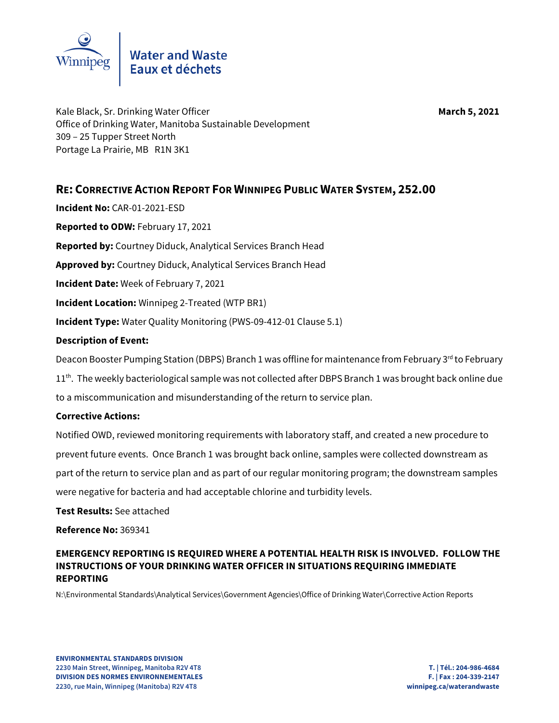

Kale Black, Sr. Drinking Water Officer **March 5, 2021 March 5, 2021** Office of Drinking Water, Manitoba Sustainable Development 309 – 25 Tupper Street North Portage La Prairie, MB R1N 3K1

**RE: CORRECTIVE ACTION REPORT FOR WINNIPEG PUBLIC WATER SYSTEM, 252.00** 

**Incident No:** CAR-01-2021-ESD **Reported to ODW:** February 17, 2021 **Reported by:** Courtney Diduck, Analytical Services Branch Head **Approved by:** Courtney Diduck, Analytical Services Branch Head **Incident Date:** Week of February 7, 2021 **Incident Location:** Winnipeg 2-Treated (WTP BR1) **Incident Type:** Water Quality Monitoring (PWS-09-412-01 Clause 5.1)

## **Description of Event:**

Deacon Booster Pumping Station (DBPS) Branch 1 was offline for maintenance from February 3<sup>rd</sup> to February

 $11<sup>th</sup>$ . The weekly bacteriological sample was not collected after DBPS Branch 1 was brought back online due to a miscommunication and misunderstanding of the return to service plan.

## **Corrective Actions:**

Notified OWD, reviewed monitoring requirements with laboratory staff, and created a new procedure to prevent future events. Once Branch 1 was brought back online, samples were collected downstream as part of the return to service plan and as part of our regular monitoring program; the downstream samples were negative for bacteria and had acceptable chlorine and turbidity levels.

**Test Results:** See attached

**Reference No:** 369341

## **EMERGENCY REPORTING IS REQUIRED WHERE A POTENTIAL HEALTH RISK IS INVOLVED. FOLLOW THE INSTRUCTIONS OF YOUR DRINKING WATER OFFICER IN SITUATIONS REQUIRING IMMEDIATE REPORTING**

N:\Environmental Standards\Analytical Services\Government Agencies\Office of Drinking Water\Corrective Action Reports